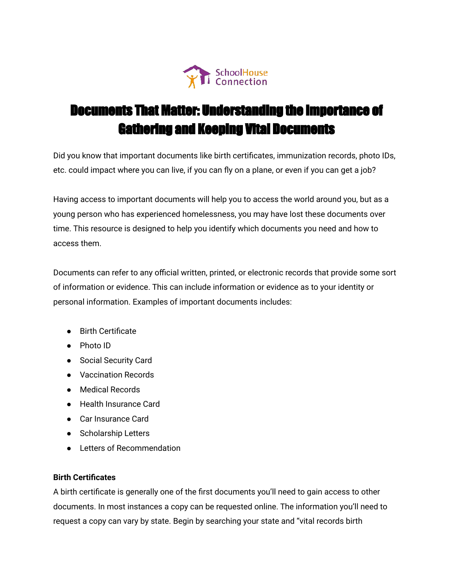

# Documents That Matter: Understanding the Importance of Gathering and Keeping Vital Documents

Did you know that important documents like birth certificates, immunization records, photo IDs, etc. could impact where you can live, if you can fly on a plane, or even if you can get a job?

Having access to important documents will help you to access the world around you, but as a young person who has experienced homelessness, you may have lost these documents over time. This resource is designed to help you identify which documents you need and how to access them.

Documents can refer to any official written, printed, or electronic records that provide some sort of information or evidence. This can include information or evidence as to your identity or personal information. Examples of important documents includes:

- Birth Certificate
- Photo ID
- Social Security Card
- Vaccination Records
- Medical Records
- Health Insurance Card
- Car Insurance Card
- Scholarship Letters
- Letters of Recommendation

#### **Birth Certificates**

A birth certificate is generally one of the first documents you'll need to gain access to other documents. In most instances a copy can be requested online. The information you'll need to request a copy can vary by state. Begin by searching your state and "vital records birth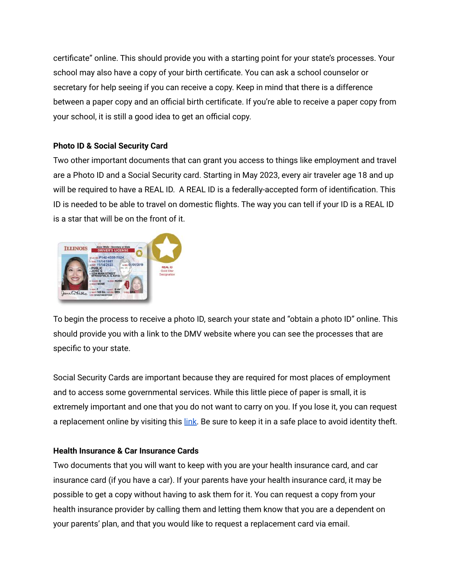certificate" online. This should provide you with a starting point for your state's processes. Your school may also have a copy of your birth certificate. You can ask a school counselor or secretary for help seeing if you can receive a copy. Keep in mind that there is a difference between a paper copy and an official birth certificate. If you're able to receive a paper copy from your school, it is still a good idea to get an official copy.

## **Photo ID & Social Security Card**

Two other important documents that can grant you access to things like employment and travel are a Photo ID and a Social Security card. Starting in May 2023, every air traveler age 18 and up will be required to have a REAL ID. A REAL ID is a federally-accepted form of identification. This ID is needed to be able to travel on domestic flights. The way you can tell if your ID is a REAL ID is a star that will be on the front of it.



To begin the process to receive a photo ID, search your state and "obtain a photo ID" online. This should provide you with a link to the DMV website where you can see the processes that are specific to your state.

Social Security Cards are important because they are required for most places of employment and to access some governmental services. While this little piece of paper is small, it is extremely important and one that you do not want to carry on you. If you lose it, you can request a replacement online by visiting this [link.](https://www.ssa.gov/myaccount/?gclid=Cj0KCQiA3rKQBhCNARIsACUEW_YGfDOqYM6NFZ5xTqF2AFugPZqhr5bvUjivp7fj1c6Mqk8cYGZpFrwaAohpEALw_wcB) Be sure to keep it in a safe place to avoid identity theft.

### **Health Insurance & Car Insurance Cards**

Two documents that you will want to keep with you are your health insurance card, and car insurance card (if you have a car). If your parents have your health insurance card, it may be possible to get a copy without having to ask them for it. You can request a copy from your health insurance provider by calling them and letting them know that you are a dependent on your parents' plan, and that you would like to request a replacement card via email.